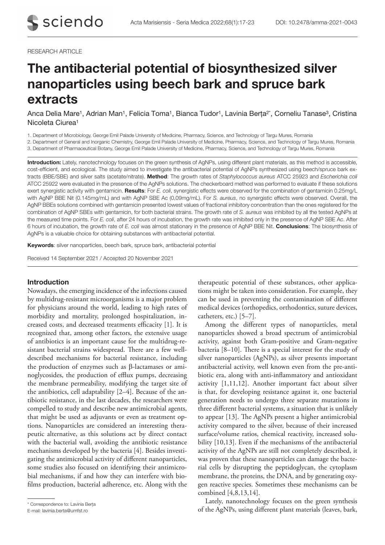#### RESEARCH ARTICLE

# The antibacterial potential of biosynthesized silver nanoparticles using beech bark and spruce bark extracts

Anca Delia Mare<sup>1</sup>, Adrian Man<sup>1</sup>, Felicia Toma<sup>1</sup>, Bianca Tudor<sup>1</sup>, Lavinia Berța<sup>2\*</sup>, Corneliu Tanase<sup>3</sup>, Cristina Nicoleta Ciurea1

1. Department of Microbiology, George Emil Palade University of Medicine, Pharmacy, Science, and Technology of Targu Mures, Romania

2. Department of General and Inorganic Chemistry, George Emil Palade University of Medicine, Pharmacy, Science, and Technology of Targu Mures, Romania

3. Department of Pharmaceutical Botany, George Emil Palade University of Medicine, Pharmacy, Science, and Technology of Targu Mures, Romania

Introduction: Lately, nanotechnology focuses on the green synthesis of AgNPs, using different plant materials, as this method is accessible, cost-efficient, and ecological. The study aimed to investigate the antibacterial potential of AgNPs synthesized using beech/spruce bark extracts (BBE/SBE) and silver salts (acetate/nitrate). Method: The growth rates of *Staphylococcus aureus* ATCC 25923 and *Escherichia coli*  ATCC 25922 were evaluated in the presence of the AgNPs solutions. The checkerboard method was performed to evaluate if these solutions exert synergistic activity with gentamicin. Results: For *E. coli*, synergistic effects were observed for the combination of gentamicin 0.25mg/L with AgNP BBE Nit (0.145mg/mL) and with AgNP SBE Ac (0,09mg/mL). For *S. aureus*, no synergistic effects were observed. Overall, the AgNP BBEs solutions combined with gentamicin presented lowest values of fractional inhibitory concentration than the ones registered for the combination of AgNP SBEs with gentamicin, for both bacterial strains. The growth rate of *S. aureus* was inhibited by all the tested AgNPs at the measured time points. For *E. coli*, after 24 hours of incubation, the growth rate was inhibited only in the presence of AgNP SBE Ac. After 6 hours of incubation, the growth rate of *E. coli* was almost stationary in the presence of AgNP BBE Nit. Conclusions: The biosynthesis of AgNPs is a valuable choice for obtaining substances with antibacterial potential.

Keywords: silver nanoparticles, beech bark, spruce bark, antibacterial potential

Received 14 September 2021 / Accepted 20 November 2021

## Introduction

Nowadays, the emerging incidence of the infections caused by multidrug-resistant microorganisms is a major problem for physicians around the world, leading to high rates of morbidity and mortality, prolonged hospitalization, increased costs, and decreased treatments efficacity [1]. It is recognized that, among other factors, the extensive usage of antibiotics is an important cause for the multidrug-resistant bacterial strains widespread. There are a few welldescribed mechanisms for bacterial resistance, including the production of enzymes such as β-lactamases or aminoglycosides, the production of efflux pumps, decreasing the membrane permeability, modifying the target site of the antibiotics, cell adaptability [2–4]. Because of the antibiotic resistance, in the last decades, the researchers were compelled to study and describe new antimicrobial agents, that might be used as adjuvants or even as treatment options. Nanoparticles are considered an interesting therapeutic alternative, as this solutions act by direct contact with the bacterial wall, avoiding the antibiotic resistance mechanisms developed by the bacteria [4]. Besides investigating the antimicrobial activity of different nanoparticles, some studies also focused on identifying their antimicrobial mechanisms, if and how they can interfere with biofilms production, bacterial adherence, etc. Along with the

therapeutic potential of these substances, other applications might be taken into consideration. For example, they can be used in preventing the contamination of different medical devices (orthopedics, orthodontics, suture devices, catheters, etc.) [5–7].

Among the different types of nanoparticles, metal nanoparticles showed a broad spectrum of antimicrobial activity, against both Gram-positive and Gram-negative bacteria [8–10]. There is a special interest for the study of silver nanoparticles (AgNPs), as silver presents important antibacterial activity, well known even from the pre-antibiotic era, along with anti-inflammatory and antioxidant activity [1,11,12]. Another important fact about silver is that, for developing resistance against it, one bacterial generation needs to undergo three separate mutations in three different bacterial systems, a situation that is unlikely to appear [13]. The AgNPs present a higher antimicrobial activity compared to the silver, because of their increased surface/volume ratios, chemical reactivity, increased solubility [10,13]. Even if the mechanisms of the antibacterial activity of the AgNPs are still not completely described, it was proven that these nanoparticles can damage the bacterial cells by disrupting the peptidoglycan, the cytoplasm membrane, the proteins, the DNA, and by generating oxygen reactive species. Sometimes these mechanisms can be combined [4,8,13,14].

Lately, nanotechnology focuses on the green synthesis orrespondence to: Lavinia Berța<br>E-mail: lavinia berta@umfst.ro<br>F-mail: lavinia berta@umfst.ro

E-mail: lavinia.berta@umfst.ro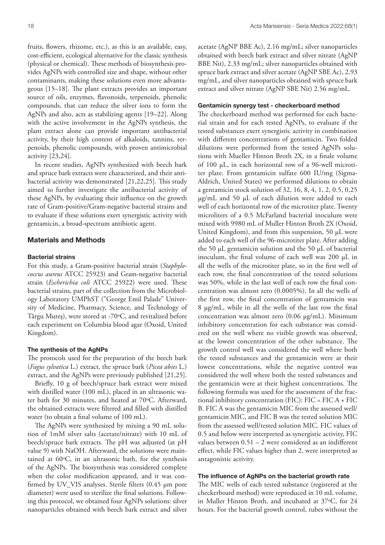fruits, flowers, rhizome, etc.), as this is an available, easy, cost-efficient, ecological alternative for the classic synthesis (physical or chemical). These methods of biosynthesis provides AgNPs with controlled size and shape, without other contaminants, making these solutions even more advantageous [15–18]. The plant extracts provides an important source of oils, enzymes, flavonoids, terpenoids, phenolic compounds, that can reduce the silver ions to form the AgNPs and also, acts as stabilizing agents [19–22]. Along with the active involvement in the AgNPs synthesis, the plant extract alone can provide important antibacterial activity, by their high content of alkaloids, tannins, terpenoids, phenolic compounds, with proven antimicrobial activity [23,24].

In recent studies, AgNPs synthesized with beech bark and spruce bark extracts were characterized, and their antibacterial activity was demonstrated [21,22,25]. This study aimed to further investigate the antibacterial activity of these AgNPs, by evaluating their influence on the growth rate of Gram-positive/Gram-negative bacterial strains and to evaluate if these solutions exert synergistic activity with gentamicin, a broad-spectrum antibiotic agent.

# Materials and Methods

### Bacterial strains

For this study, a Gram-positive bacterial strain (*Staphylococcus aureus* ATCC 25923) and Gram-negative bacterial strain (*Escherichia coli* ATCC 25922) were used. These bacterial strains, part of the collection from the Microbiology Laboratory UMPhST ("George Emil Palade" University of Medicine, Pharmacy, Science, and Technology of Târgu Mureș), were stored at -70°C, and revitalized before each experiment on Columbia blood agar (Oxoid, United Kingdom).

## The synthesis of the AgNPs

The protocols used for the preparation of the beech bark (*Fagus sylvatica* L.) extract, the spruce bark (*Picea abies* L.) extract, and the AgNPs were previously published [21,25].

Briefly, 10 g of beech/spruce bark extract were mixed with distilled water (100 mL), placed in an ultrasonic water bath for 30 minutes, and heated at 70°C. Afterward, the obtained extracts were filtered and filled with distilled water (to obtain a final volume of 100 mL).

The AgNPs were synthesized by mixing a 90 mL solution of 1mM silver salts (acetate/nitrate) with 10 mL of beech/spruce bark extracts. The pH was adjusted (at pH value 9) with NaOH. Afterward, the solutions were maintained at  $60^{\circ}$ C, in an ultrasonic bath, for the synthesis of the AgNPs. The biosynthesis was considered complete when the color modification appeared, and it was confirmed by UV\_VIS analyses. Sterile filters (0.45 µm pore diameter) were used to sterilize the final solutions. Following this protocol, we obtained four AgNPs solutions: silver nanoparticles obtained with beech bark extract and silver

acetate (AgNP BBE Ac), 2.16 mg/mL; silver nanoparticles obtained with beech bark extract and silver nitrate (AgNP BBE Nit), 2.33 mg/mL; silver nanoparticles obtained with spruce bark extract and silver acetate (AgNP SBE Ac), 2.93 mg/mL, and silver nanoparticles obtained with spruce bark extract and silver nitrate (AgNP SBE Nit) 2.56 mg/mL.

## Gentamicin synergy test - checkerboard method

The checkerboard method was performed for each bacterial strain and for each tested AgNPs, to evaluate if the tested substances exert synergistic activity in combination with different concentrations of gentamicin. Two folded dilutions were performed from the tested AgNPs solutions with Mueller Hinton Broth 2X, in a finale volume of 100 µL, in each horizontal row of a 96-well microtiter plate. From gentamicin sulfate 600 IU/mg (Sigma-Aldrich, United States) we performed dilutions to obtain a gentamicin stock solution of 32, 16, 8, 4, 1, 2, 0.5, 0,25 µg/mL and 50 µL of each dilution were added to each well of each horizontal row of the microtiter plate. Twenty microliters of a 0.5 McFarland bacterial inoculum were mixed with 9980 mL of Muller Hinton Broth 2X (Oxoid, United Kingdom), and from this suspension, 50 µL were added to each well of the 96-microtiter plate. After adding the 50  $\mu$ L gentamicin solution and the 50  $\mu$ L of bacterial inoculum, the final volume of each well was 200 µL in all the wells of the microtiter plate, so in the first well of each row, the final concentration of the tested solutions was 50%, while in the last well of each row the final concentration was almost zero (0.0005%). In all the wells of the first row, the final concentration of gentamicin was 8 µg/mL, while in all the wells of the last row the final concentration was almost zero (0.06 µg/mL). Minimum inhibitory concentration for each substance was considered on the well where no visible growth was observed, at the lowest concentration of the other substance. The growth control well was considered the well where both the tested substances and the gentamicin were at their lowest concentrations, while the negative control was considered the well where both the tested substances and the gentamicin were at their highest concentrations. The following formula was used for the assessment of the fractional inhibitory concentration (FIC):  $FIC = FIC A + FIC$ B. FIC A was the gentamicin MIC from the assessed well/ gentamicin MIC, and FIC B was the tested solution MIC from the assessed well/tested solution MIC. FIC values of 0.5 and below were interpreted as synergistic activity, FIC values between 0.51 – 2 were considered as an indifferent effect, while FIC values higher than 2, were interpreted as antagonistic activity.

#### The influence of AgNPs on the bacterial growth rate

The MIC wells of each tested substance (registered at the checkerboard method) were reproduced in 10 mL volume, in Muller Hinton Broth, and incubated at 37oC, for 24 hours. For the bacterial growth control, tubes without the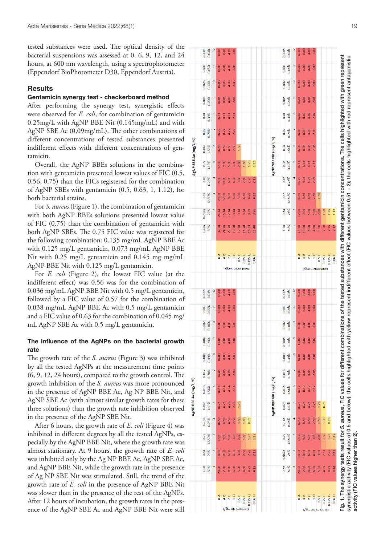tested substances were used. The optical density of the bacterial suspensions was assessed at 0, 6, 9, 12, and 24 hours, at 600 nm wavelength, using a spectrophotometer (Eppendorf BioPhotometer D30, Eppendorf Austria).

## **Results**

#### Gentamicin synergy test - checkerboard method

After performing the synergy test, synergistic effects were observed for *E. coli*, for combination of gentamicin 0.25mg/L with AgNP BBE Nit (0.145mg/mL) and with AgNP SBE Ac (0,09mg/mL). The other combinations of different concentrations of tested substances presented indifferent effects with different concentrations of gen tamicin.

Overall, the AgNP BBEs solutions in the combina tion with gentamicin presented lowest values of FIC (0.5, 0.56, 0.75) than the FICs registered for the combination of AgNP SBEs with gentamicin (0.5, 0.63, 1, 1.12), for both bacterial strains.

For *S. aureus*  (Figure 1), the combination of gentamicin with both AgNP BBEs solutions presented lowest value of FIC (0.75) than the combination of gentamicin with both AgNP SBEs. The 0.75 FIC value was registered for the following combination: 0.135 mg/mL AgNP BBE Ac with 0.125 mg/L gentamicin, 0.073 mg/mL AgNP BBE Nit with 0.25 mg/L gentamicin and 0.145 mg mg/mL AgNP BBE Nit with 0.125 mg/L gentamicin.

For *E. coli*  (Figure 2), the lowest FIC value (at the indifferent effect) was 0.56 was for the combination of 0.036 mg/mL AgNP BBE Nit with 0.5 mg/L gentamicin, followed by a FIC value of 0.57 for the combination of 0.038 mg/mL AgNP BBE Ac with 0.5 mg/L gentamicin and a FIC value of 0.63 for the combination of 0.045 mg/ mL AgNP SBE Ac with 0.5 mg/L gentamicin.

## The influence of the AgNPs on the bacterial growth rate

The growth rate of the *S. aureus* (Figure 3) was inhibited by all the tested AgNPs at the measurement time points (6, 9, 12, 24 hours), compared to the growth control. The growth inhibition of the *S. aureus* was more pronounced in the presence of AgNP BBE Ac, Ag NP BBE Nit, and AgNP SBE Ac (with almost similar growth rates for these three solutions) than the growth rate inhibition observed in the presence of the AgNP SBE Nit.

After 6 hours, the growth rate of *E. coli* (Figure 4) was inhibited in different degrees by all the tested AgNPs, es pecially by the AgNP BBE Nit, where the growth rate was almost stationary. At 9 hours, the growth rate of *E. coli* was inhibited only by the Ag NP BBE Ac, AgNP SBE Ac, and AgNP BBE Nit, while the growth rate in the presence of Ag NP SBE Nit was stimulated. Still, the trend of the growth rate of *E. coli* in the presence of AgNP BBE Nit was slower than in the presence of the rest of the AgNPs. After 12 hours of incubation, the growth rates in the pres ence of the AgNP SBE Ac and AgNP BBE Nit were still

|                       | 0.0005 | 0.03%  | $\overline{a}$ | 16.01         | 8.01              | 4.01                               | 2.01                                |                 |        |         |           |                        | 0.0005 | 0.03%  | $\overline{a}$       | 16.00  | 8.00   | 4.00         | 2.00          |                 |        |         |       |
|-----------------------|--------|--------|----------------|---------------|-------------------|------------------------------------|-------------------------------------|-----------------|--------|---------|-----------|------------------------|--------|--------|----------------------|--------|--------|--------------|---------------|-----------------|--------|---------|-------|
|                       | 0.001  | 0.05%  | $\sharp$       | 16.01         | 8.01              | 4.01                               | 2.01                                |                 |        |         |           |                        | 0.001  | 0.05%  | Ħ                    | 16.00  | 8.00   | 4.00         | 2.00          |                 |        |         |       |
|                       | 0.0025 | 0.10%  | $\overline{a}$ | 16.03         | 8.03              | 4.03                               | 2.03                                |                 |        |         |           |                        | 0.002  | 0.10%  | $\overline{a}$       | 16.00  | 8.00   | 4.00         | 2.00          |                 |        |         |       |
|                       | 0.005  | 0.20%  | ø              | 16.06         | 8.06              | 4.06                               | 2.06                                |                 |        |         |           |                        | 0.005  | 0.20%  | ø                    | 16.01  | 8.01   | 4.01         | 2.01          |                 |        |         |       |
|                       | 0.01   | 0.39%  | $\infty$       | 16.11         | 8.11              | 4.11                               | 2.11                                |                 |        |         |           |                        | 0.01   | 0.39%  | $\infty$             | 16.02  | 8.02   | 4.02         | 2.02          |                 |        |         |       |
|                       | 0.02   | 0.78%  |                | 16.22         | 8.22              | 4.22                               | 2.22                                |                 |        |         |           |                        | 0.02   | 0.78%  |                      | 16.03  | 8.03   | 4.03         | 2.03          |                 |        |         |       |
|                       | 0.045  | 1.56%  | $\bullet$      | 16.50         | 8.50              | 4.50                               | 2.50                                | 1.50            |        |         |           |                        | 0.04   | 1.56%  | G                    | 16.06  | 8.06   | 4.06         | 2.06          |                 |        |         |       |
| AgNP SBE Ac (mg/L; %) | 0.09   | 3.13%  | n<br>1         | 17.00         | 9.00              | 5.00                               | 3.00                                | 2.00            | 1.50   | 1.25    | 1.12      | AgNP SBE Nit (mg/L; %) | 0.08   | 3.13%  | ŋ                    | 16.13  | 8.13   | 4.13         | 2.13          |                 |        |         |       |
|                       | 0.18   | 6.25%  | $\overline{a}$ | 18.00         | 10.00             | 6.00                               | 4.00                                | 3.00            | 2.50   | 2.25    | 2.12      |                        | 0.16   | 6.25%  | 4                    | 16.25  | 8.25   | 4.25         | 2.25          |                 |        |         |       |
|                       | 0.36   | 12.50% |                | 20.00         | 12.00             | 8.00                               | 6.00                                | 5.00            | 4.50   | 4.25    | 4.12      |                        | 0.32   | 12.50% |                      | 16.50  | 8.50   | 4.50         | 2.50          | 1.50            |        |         |       |
|                       | 0.7325 | 25%    | $\mathbf{z}$   | 24.14         | 16.14             | 12.14                              | 10.14                               | 9.14            | 8.64   | 8.39    | 8.26      |                        | 0.64   | 25%    |                      | 17.00  | 9.00   | 5.00         | 3.00          | 2.00            | 1.50   | $1.25$  | 1.12  |
|                       | 1,465  | 50%    | T              | 32.28         | 24.28             | 20.28                              | 18.28                               | 17.28           | 16.78  | 16.53   | 16.40     |                        | 1.28   | 50%    | T                    | 18.00  | 10.00  | 6.00         | 4.00          | 3.00            | 2.50   | 2.25    | 2.12  |
|                       |        |        |                |               |                   |                                    |                                     |                 |        |         |           |                        |        |        |                      |        |        |              |               |                 |        |         |       |
|                       |        |        |                | ⋖<br>$\infty$ | $\mathbf{m}$<br>4 | $\circ$<br>$\overline{\mathbf{c}}$ | $\circ$<br>$\overline{\phantom{0}}$ | 0.5E            | 0.25 F | 0.125 G | Ŧ<br>0.06 |                        |        |        |                      | ⋖<br>8 | œ<br>4 | $\circ$<br>2 | $\frac{1}{1}$ | 0.5E            | 0.25 F | 0.125G  | 0.06H |
|                       |        |        |                |               |                   |                                    |                                     | Gentamicin mg/L |        |         |           |                        |        |        |                      |        |        |              |               | J/gm nibimstneD |        |         |       |
|                       | 0.0005 | 0.03%  | $\mathfrak{a}$ | 16.00         | 8.00              | 4.00                               | 2.00                                |                 |        |         |           |                        | 0.0005 | 0.03%  | 2                    | 16.00  | 8.00   | 4.00         | 2.00          |                 |        |         |       |
|                       | 0.001  | 0.05%  | Ħ              | 16.00         | 8.00              | 4.00                               | 2.00                                |                 |        |         |           |                        | 0.001  | 0.05%  | Ħ                    | 16.00  | 8.00   | 4.00         | 2.00          |                 |        |         |       |
|                       | 0.002  | 0.10%  | a              | 16.01         | 8.01              | 4.01                               | 2.01                                |                 |        |         |           |                        | 0.002  | 0.10%  | a                    | 16.01  | 8.01   | 4.01         | 2.01          |                 |        |         |       |
|                       | 0.004  | 0.20%  |                | 16.01         | 8.01              | 4.01                               | 2.01                                |                 |        |         |           |                        | 0.0045 | 0.20%  |                      | 16.02  | 8.02   | 4.02         | 2.02          |                 |        |         |       |
|                       | 0.008  | 0.39%  | 8              | 16.03         | 8.03              | 4.03                               | 2.03                                |                 |        |         |           |                        | 0.009  | 0.39%  | $\infty$             | 16.01  | 8.01   | 4.01         | 2.01          |                 |        |         |       |
|                       | 0.017  | 0.78%  |                | 16.06         | 8.06              | 4.06                               | 2.06                                |                 |        |         |           |                        | 0.018  | 0.78%  |                      | 16.06  | 8.06   | 4.06         | 2.06          |                 |        |         |       |
|                       | 0.038  | 1.56%  | $\circ$        | 16.14         | 8.14              | 4.14                               | 2.14                                |                 |        |         |           |                        | 0.036  | 1.56%  | $\bullet$            | 16.12  | 8.12   | 4.12         | 2.12          |                 |        |         |       |
| AgNP BBE Ac (mg/L; %) | 0.068  | 3.13%  | ŋ              | 16.25         | 8.25              | 4.25                               | 2.25                                | 1.25            |        |         |           | AgNP BBE Nit (mg/L; %) | 0.073  | 3.13%  | iņ                   | 16.25  | 8.25   | 4.25         | 2.25          | 1.25            | 0.75   |         |       |
|                       | 0.135  | 6.25%  | 4              | 16.50         | 8.50              | 4.50                               | 2.50                                | 1.50            | 1.00   | 0.75    |           |                        | 0.145  | 6.25%  | 4                    | 16.50  | 8.50   | 4.50         | 2.50          | 1.50            | 1.00   | 0.75    |       |
|                       | 0.27   | 12.50% | m              | 17.00         | 9.00              | 5.00                               | 3.00                                | 2.00            | 1.50   | 1.25    | 1.12      |                        | 0.29   | 12.50% | $\infty$             | 17.00  | 9.00   | 5.00         | 3.00          | 2.00            | 1.50   | 1.25    | 1.12  |
|                       | 0.54   | 25%    | 2              | 18.00         | 10.00             | 6.00                               | 4.00                                | 3.00            | 2.50   | 2.25    | 2.12      |                        | 0.5825 | 25%    | $\mathbf{\tilde{c}}$ | 18.01  | 10.01  | 6.01         | 4.01          | 3.01            | 2.51   | 2.26    | 2.13  |
|                       | 1.08   | 50%    | H              | 20.00         | 12.00             | 8.00                               | 6.00                                | 5.00            | 4.50   | 4.25    | 4.12      |                        | 1.165  | 50%    | Η                    | 20.02  | 12.02  | 8.02         | 6.02          | 5.02            | 4.52   | 4.27    | 4.14  |
|                       |        |        |                |               |                   |                                    |                                     |                 |        |         |           |                        |        |        |                      |        |        |              |               |                 |        |         |       |
|                       |        |        |                |               |                   |                                    |                                     |                 |        |         |           |                        |        |        |                      |        |        | $\circ$      |               |                 |        | 0.125 G | Ŧ     |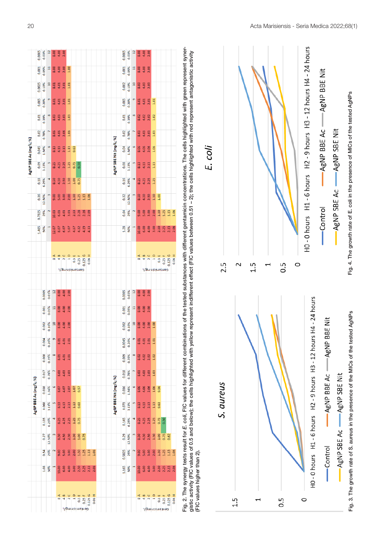|                       | 0.0005 | 0.03%  | $\overline{12}$        | 8.00                                                                                      | $4.00$<br>$2.00$        |                         |                |                                                                                                                                                                                                                                                                                                                                                                                                                                                |        |                             |         |        |  |                        | 0.0005 | 0.03%                                                                | $\frac{12}{2}$           |        | 8.00<br>8.4<br>2.00                         |                                                                                                                       |               |      |                      |                  |        |
|-----------------------|--------|--------|------------------------|-------------------------------------------------------------------------------------------|-------------------------|-------------------------|----------------|------------------------------------------------------------------------------------------------------------------------------------------------------------------------------------------------------------------------------------------------------------------------------------------------------------------------------------------------------------------------------------------------------------------------------------------------|--------|-----------------------------|---------|--------|--|------------------------|--------|----------------------------------------------------------------------|--------------------------|--------|---------------------------------------------|-----------------------------------------------------------------------------------------------------------------------|---------------|------|----------------------|------------------|--------|
|                       | 0.001  | 0.05%  | 테                      |                                                                                           | 8.00<br>4.00<br>2.00    |                         | 1.00           |                                                                                                                                                                                                                                                                                                                                                                                                                                                |        |                             |         |        |  |                        | 0.001  | 0.05%                                                                | 테                        |        | 8.00                                        | 2.00                                                                                                                  |               |      |                      |                  |        |
|                       | 0.0025 | 0.10%  | 10                     |                                                                                           | s. 01<br>4. 01<br>2. 01 |                         | 1.01           |                                                                                                                                                                                                                                                                                                                                                                                                                                                |        |                             |         |        |  |                        | 0.002  | 0.10%                                                                | $\frac{10}{2}$           |        | 8.00                                        | 2.00                                                                                                                  |               |      |                      |                  |        |
|                       | 0.005  | 0.20%  | $\bullet$              | 8.01                                                                                      | $4.01$<br>2.01          |                         | 1.01           |                                                                                                                                                                                                                                                                                                                                                                                                                                                |        |                             |         |        |  |                        |        | 0.005<br>0.20%                                                       | $\bullet$                |        |                                             | 8.01<br>4.01<br>2.01                                                                                                  | 1.01          |      |                      |                  |        |
|                       | 0.01   | 0.39%  | $^{\circ}$             |                                                                                           | 8.03<br>4.03<br>2.03    |                         | 1.03           |                                                                                                                                                                                                                                                                                                                                                                                                                                                |        |                             |         |        |  |                        |        | 0.01<br>0.39%                                                        | $\bigcirc$               |        | $8.02$<br>4.02                              | 2.02                                                                                                                  | 1.02          |      |                      |                  |        |
|                       | 0.02   | 0.78%  |                        |                                                                                           | 8.06<br>4.06<br>2.06    |                         | 1.06           |                                                                                                                                                                                                                                                                                                                                                                                                                                                |        |                             |         |        |  |                        |        | $0.02$<br>$0.78%$                                                    | $\overline{\phantom{0}}$ |        | 8.03<br>4.03                                | 2.03                                                                                                                  | 1.03          |      |                      |                  |        |
| AgNP SBE Ac (mg/L; %) | 0.045  | 1.56%  | $\bullet$              | 8.13                                                                                      | $4.13$                  |                         | 1.13           | 0.63                                                                                                                                                                                                                                                                                                                                                                                                                                           |        |                             |         |        |  |                        |        | $\frac{0.04}{1.56\%}$                                                |                          |        | 8.06<br>4.06                                | 2.06                                                                                                                  | 1.06          |      |                      |                  |        |
|                       | 0.09   | 3.13%  |                        | 8.25                                                                                      |                         | $4.25$<br>$2.25$        | 1.25           | 0.75                                                                                                                                                                                                                                                                                                                                                                                                                                           | 0.50   |                             |         |        |  | AgNP SBE Nit (mg/L; %) |        | 0.08<br>3.13%                                                        |                          |        | $\begin{array}{c} 8.13 \\ 4.13 \end{array}$ | 2.13                                                                                                                  | 113           |      |                      |                  |        |
|                       | 0.18   | 6.25%  |                        | 8.50                                                                                      |                         | 4.50<br>2.50            | 1.50           | 1.00                                                                                                                                                                                                                                                                                                                                                                                                                                           | 0.75   |                             |         |        |  |                        |        | 0.16<br>6.25%                                                        | $\overline{a}$           |        | 8.25                                        | 2.25                                                                                                                  | 1.25          |      |                      |                  |        |
|                       | 0.36   | 12.50% |                        | 9.00                                                                                      | 5.00                    | 3.00                    | 2.00           | 1.50                                                                                                                                                                                                                                                                                                                                                                                                                                           | 1.25   | $1.13\,$                    | 1.06    |        |  |                        |        | $\frac{0.32}{12.50\%}$                                               | $\degree$                |        |                                             | $\frac{5}{4}$ $\frac{5}{1}$ $\frac{5}{1}$                                                                             |               | 1.00 |                      |                  |        |
|                       | 0.7325 | 25%    |                        | 10.03                                                                                     | 6.03                    |                         | $4.03$<br>3.03 | 2.53                                                                                                                                                                                                                                                                                                                                                                                                                                           | 2.28   | 2.16                        | 2.09    |        |  |                        | 0.64   | 25%                                                                  | $\overline{2}$           |        | 9.00                                        | 3.00                                                                                                                  | 2.00          | 1.50 |                      | $\frac{12}{113}$ | 1.06   |
|                       | 1.465  | 50%    |                        | 12.07                                                                                     |                         | 8.07<br>6.07            |                | $5.07$<br>$4.57$<br>$4.32$                                                                                                                                                                                                                                                                                                                                                                                                                     |        | 4.19                        | 4.13    |        |  |                        |        | 1.28<br>50%                                                          | E <sub>1</sub>           | 10.00  |                                             | 6.00<br>4.00<br>3.00                                                                                                  |               | 2.50 | 2.25                 | 2.13             |        |
|                       |        |        |                        |                                                                                           |                         |                         |                |                                                                                                                                                                                                                                                                                                                                                                                                                                                |        |                             |         |        |  |                        |        |                                                                      |                          |        |                                             |                                                                                                                       |               |      |                      |                  |        |
|                       |        |        |                        | 8                                                                                         | 4                       | $\overline{\mathbf{N}}$ | $\frac{1}{1}$  | 0.5E                                                                                                                                                                                                                                                                                                                                                                                                                                           | 0.25 F | 0.125 G                     | 0.06H   |        |  |                        |        |                                                                      |                          | œ      | 4                                           | $\overline{\mathbf{c}}$                                                                                               | $\frac{1}{1}$ | 0.5E | 0.25 F               | 0.125G           | 0.06H  |
|                       |        |        |                        |                                                                                           |                         |                         |                | Gentamicinme/L                                                                                                                                                                                                                                                                                                                                                                                                                                 |        |                             |         |        |  |                        |        |                                                                      |                          |        |                                             | Gentamicin mg/L                                                                                                       |               |      |                      |                  |        |
|                       |        | 0.0005 | 0.03%                  | $\frac{1}{2}$                                                                             |                         | 8.8 8<br>4.8 8          |                |                                                                                                                                                                                                                                                                                                                                                                                                                                                |        |                             |         |        |  |                        | 0.0005 | 0.03%                                                                | 12                       |        | 8.8<br>4.8<br>2.8                           |                                                                                                                       |               |      |                      |                  |        |
|                       |        | 0.001  | 0.05%                  | $\mathfrak{a}$                                                                            |                         | 8.00<br>4.00            | 2.00           |                                                                                                                                                                                                                                                                                                                                                                                                                                                |        |                             |         |        |  |                        | 0.001  | 0.05%                                                                | $\overline{a}$           |        | 8.00                                        | 2.00                                                                                                                  |               |      |                      |                  |        |
|                       |        | 0.002  | 0.10%                  | $\frac{10}{2}$                                                                            |                         | 8.00<br>4.00            | 2.00           |                                                                                                                                                                                                                                                                                                                                                                                                                                                |        |                             |         |        |  |                        | 0.002  | 0.10%                                                                | 10                       |        |                                             | 8.30                                                                                                                  | 1.00          |      |                      |                  |        |
|                       |        | 0.004  | 0.20%                  | $\overline{\phantom{a}}$                                                                  |                         | 8.01<br>4.01<br>2.01    |                |                                                                                                                                                                                                                                                                                                                                                                                                                                                |        |                             |         |        |  |                        | 0.0045 |                                                                      | 6.20%                    |        |                                             | 8.01<br>4.01<br>8.01<br>5.01                                                                                          |               |      |                      |                  |        |
|                       |        | 0.008  |                        | 0.39%<br>8.01<br>4.01<br>2.01                                                             |                         |                         |                |                                                                                                                                                                                                                                                                                                                                                                                                                                                |        |                             |         |        |  |                        |        | 0.009<br>0.39% <sup>8</sup><br>8.02 4.02<br>4.02 1.02                |                          |        |                                             |                                                                                                                       |               |      |                      |                  |        |
|                       |        | 0.017  |                        | $\begin{array}{r} 0.78\% \\ 7 \\ 8.03 \\ 4.03 \\ 2.03 \end{array}$                        |                         |                         |                |                                                                                                                                                                                                                                                                                                                                                                                                                                                |        |                             |         |        |  |                        |        | $\frac{1}{100}$                                                      |                          |        |                                             | $\begin{array}{c} 8.03 \\ 4.03 \\ 2.03 \\ 1.03 \end{array}$                                                           |               |      |                      |                  |        |
|                       |        |        |                        | $\begin{array}{r} 0.038 \\ 1.56\% \\ 8.07 \\ 4.07 \\ 1.07 \\ 1.07 \\ 0.57 \\ \end{array}$ |                         |                         |                |                                                                                                                                                                                                                                                                                                                                                                                                                                                |        |                             |         |        |  |                        |        | $0.036$<br>$1.56%$<br>$8.06$<br>$4.06$<br>$1.06$<br>$1.06$           |                          |        |                                             |                                                                                                                       |               | 0.56 |                      |                  |        |
| AgNP BBE Ac (mg/L; %) |        |        |                        |                                                                                           |                         |                         |                |                                                                                                                                                                                                                                                                                                                                                                                                                                                |        |                             |         |        |  | AgNP BBE Nit (mg/L; %) |        | 0.073                                                                |                          |        |                                             | $\begin{array}{c} 8.13 \\ 4.13 \\ 2.11 \\ 1.13 \end{array}$                                                           |               | 0.63 |                      |                  |        |
|                       |        |        |                        |                                                                                           |                         |                         |                |                                                                                                                                                                                                                                                                                                                                                                                                                                                |        |                             |         |        |  |                        |        | $\begin{array}{c c}\n 0.145 \\  \hline\n 6.25\% \\  4\n \end{array}$ |                          |        |                                             | 333335                                                                                                                |               |      | 0.50                 |                  |        |
|                       |        |        | $\frac{0.27}{12.50\%}$ | $\mathbf{L}$                                                                              |                         |                         |                | $\begin{array}{c} 5.5 \\ 5.5 \\ 4.5 \\ 1.5 \\ 1.5 \\ 0.7 \\ \end{array}$                                                                                                                                                                                                                                                                                                                                                                       |        |                             |         |        |  |                        |        | $\begin{array}{c c} 0.29 \\ \hline 12.50\% \\ \hline \end{array}$    |                          |        |                                             |                                                                                                                       |               |      |                      |                  |        |
|                       |        | 0.54   |                        |                                                                                           |                         |                         |                |                                                                                                                                                                                                                                                                                                                                                                                                                                                |        |                             |         |        |  |                        | 0.5825 |                                                                      |                          |        |                                             |                                                                                                                       |               |      |                      |                  |        |
|                       |        | 1.08   |                        | $50\%$                                                                                    |                         |                         |                |                                                                                                                                                                                                                                                                                                                                                                                                                                                |        |                             |         |        |  |                        |        | $\begin{array}{c c}\n1.165 \\ 50% \\ 1\n\end{array}$                 |                          |        |                                             |                                                                                                                       |               |      |                      |                  |        |
|                       |        |        |                        |                                                                                           |                         |                         |                |                                                                                                                                                                                                                                                                                                                                                                                                                                                |        |                             |         |        |  |                        |        |                                                                      |                          |        |                                             |                                                                                                                       |               |      |                      |                  |        |
|                       |        |        |                        |                                                                                           | ⋖<br>8                  | $\mathbf{m}$            |                | $\begin{array}{c}\n\mathbf{a} & \mathbf{b} \\ \mathbf{c} & \mathbf{c} \\ \mathbf{d} & \mathbf{c} \\ \mathbf{e} & \mathbf{c} \\ \mathbf{e} & \mathbf{c} \\ \mathbf{e} & \mathbf{c} \\ \mathbf{e} & \mathbf{c} \\ \mathbf{e} & \mathbf{c} \\ \mathbf{e} & \mathbf{c} \\ \mathbf{e} & \mathbf{c} \\ \mathbf{e} & \mathbf{c} \\ \mathbf{e} & \mathbf{c} \\ \mathbf{e} & \mathbf{c} \\ \mathbf{e} & \mathbf{c} \\ \mathbf{e} & \mathbf{c} \\ \math$ |        | $0.25$ F<br>Gentamicin mg/L | 0.125 G | 0.06 H |  |                        |        |                                                                      |                          | ⋖<br>8 | $\blacksquare$                              | $\begin{array}{c}\n\mathbf{a} \\ \mathbf{b} \\ \mathbf{c} \\ \mathbf{d} \\ \mathbf{e}\n\end{array}$<br>Gentamicinne/L |               |      | $\frac{0.5}{0.25}$ F | 0.125G           | 0.06 H |

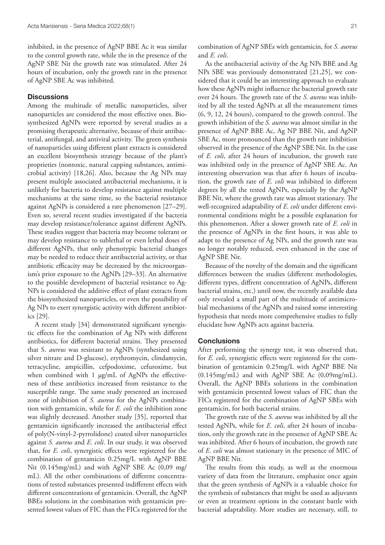inhibited, in the presence of AgNP BBE Ac it was similar to the control growth rate, while the in the presence of the AgNP SBE Nit the growth rate was stimulated. After 24 hours of incubation, only the growth rate in the presence of AgNP SBE Ac was inhibited.

## **Discussions**

Among the multitude of metallic nanoparticles, silver nanoparticles are considered the most effective ones. Biosynthesized AgNPs were reported by several studies as a promising therapeutic alternative, because of their antibacterial, antifungal, and antiviral activity. The green synthesis of nanoparticles using different plant extracts is considered an excellent biosynthesis strategy because of the plant's proprieties (nontoxic, natural capping substances, antimicrobial activity) [18,26]. Also, because the Ag NPs may present multiple associated antibacterial mechanisms, it is unlikely for bacteria to develop resistance against multiple mechanisms at the same time, so the bacterial resistance against AgNPs is considered a rare phenomenon [27–29]. Even so, several recent studies investigated if the bacteria may develop resistance/tolerance against different AgNPs. These studies suggest that bacteria may become tolerant or may develop resistance to sublethal or even lethal doses of different AgNPs, that only phenotypic bacterial changes may be needed to reduce their antibacterial activity, or that antibiotic efficacity may be decreased by the microorganism's prior exposure to the AgNPs [29–33]. An alternative to the possible development of bacterial resistance to Ag-NPs is considered the additive effect of plant extracts from the biosynthesized nanoparticles, or even the possibility of Ag NPs to exert synergistic activity with different antibiotics [29].

A recent study [34] demonstrated significant synergistic effects for the combination of Ag NPs with different antibiotics, for different bacterial strains. They presented that S. *aureus* was resistant to AgNPs (synthesized using silver nitrate and D-glucose), erythromycin, clindamycin, tetracycline, ampicillin, cefpodoxime, cefuroxime, but when combined with 1 µg/mL of AgNPs the effectiveness of these antibiotics increased from resistance to the susceptible range. The same study presented an increased zone of inhibition of *S. aureus* for the AgNPs combination with gentamicin, while for *E. coli* the inhibition zone was slightly decreased. Another study [35], reported that gentamicin significantly increased the antibacterial effect of poly(N-vinyl-2-pyrrolidone) coated silver nanoparticles against *S. aureus* and *E. coli*. In our study, it was observed that, for *E. coli*, synergistic effects were registered for the combination of gentamicin 0.25mg/L with AgNP BBE Nit (0.145mg/mL) and with AgNP SBE Ac (0,09 mg/ mL). All the other combinations of different concentrations of tested substances presented indifferent effects with different concentrations of gentamicin. Overall, the AgNP BBEs solutions in the combination with gentamicin presented lowest values of FIC than the FICs registered for the

combination of AgNP SBEs with gentamicin, for *S. aureus* and *E. coli*.

As the antibacterial activity of the Ag NPs BBE and Ag NPs SBE was previously demonstrated [21,25], we considered that it could be an interesting approach to evaluate how these AgNPs might influence the bacterial growth rate over 24 hours. The growth rate of the *S. aureus* was inhibited by all the tested AgNPs at all the measurement times (6, 9, 12, 24 hours), compared to the growth control. The growth inhibition of the *S. aureus* was almost similar in the presence of AgNP BBE Ac, Ag NP BBE Nit, and AgNP SBE Ac, more pronounced than the growth rate inhibition observed in the presence of the AgNP SBE Nit. In the case of *E. coli*, after 24 hours of incubation, the growth rate was inhibited only in the presence of AgNP SBE Ac. An interesting observation was that after 6 hours of incubation, the growth rate of *E. coli* was inhibited in different degrees by all the tested AgNPs, especially by the AgNP BBE Nit, where the growth rate was almost stationary. The well-recognized adaptability of *E. coli* under different environmental conditions might be a possible explanation for this phenomenon. After a slower growth rate of *E. coli* in the presence of AgNPs in the first hours, it was able to adapt to the presence of Ag NPs, and the growth rate was no longer notably reduced, even enhanced in the case of AgNP SBE Nit.

Because of the novelty of the domain and the significant differences between the studies (different methodologies, different types, diffrent concentration of AgNPs, different bacterial strains, etc.) until now, the recently available data only revealed a small part of the multitude of antimicrobial mechanisms of the AgNPs and raised some interesting hypothesis that needs more comprehensive studies to fully elucidate how AgNPs acts against bacteria.

### **Conclusions**

After performing the synergy test, it was observed that, for *E. coli*, synergistic effects were registered for the combination of gentamicin 0.25mg/L with AgNP BBE Nit (0.145mg/mL) and with AgNP SBE Ac (0,09mg/mL). Overall, the AgNP BBEs solutions in the combination with gentamicin presented lowest values of FIC than the FICs registered for the combination of AgNP SBEs with gentamicin, for both bacterial strains.

The growth rate of the *S. aureus* was inhibited by all the tested AgNPs, while for *E. coli*, after 24 hours of incubation, only the growth rate in the presence of AgNP SBE Ac was inhibited. After 6 hours of incubation, the growth rate of *E. coli* was almost stationary in the presence of MIC of AgNP BBE Nit.

The results from this study, as well as the enormous variety of data from the literature, emphasize once again that the green synthesis of AgNPs is a valuable choice for the synthesis of substances that might be used as adjuvants or even as treatment options in the constant battle with bacterial adaptability. More studies are necessary, still, to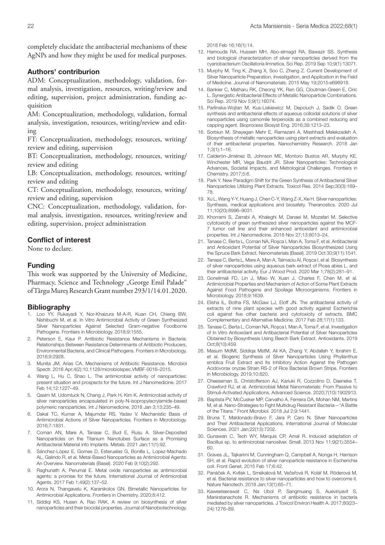completely elucidate the antibacterial mechanisms of these AgNPs and how they might be used for medical purposes.

## Authors' contriburion

ADM: Conceptualization, methodology, validation, formal analysis, investigation, resources, writing/review and editing, supervision, project administration, funding acquisition

AM: Conceptualization, methodology, validation, formal analysis, investigation, resources, writing/review and editing

FT: Conceptualization, methodology, resources, writing/ review and editing, supervision

BT: Conceptualization, methodology, resources, writing/ review and editing

LB: Conceptualization, methodology, resources, writing/ review and editing

CT: Conceptualization, methodology, resources, writing/ review and editing, supervision

CNC: Conceptualization, methodology, validation, formal analysis, investigation, resources, writing/review and editing, supervision, project administration

## Conflict of interest

None to declare.

## Funding

This work was supported by the University of Medicine, Pharmacy, Science and Technology "George Emil Palade" of Târgu Mureș Research Grant number 293/1/14.01.2020.

#### Bibliography

- 1. Loo YY, Rukayadi Y, Nor-Khaizura M-A-R, Kuan CH, Chieng BW, Nishibuchi M, et al. In Vitro Antimicrobial Activity of Green Synthesized Silver Nanoparticles Against Selected Gram-negative Foodborne Pathogens. Frontiers in Microbiology. 2018;9:1555.
- 2. Peterson E, Kaur P. Antibiotic Resistance Mechanisms in Bacteria: Relationships Between Resistance Determinants of Antibiotic Producers, Environmental Bacteria, and Clinical Pathogens. Frontiers in Microbiology. 2018;9:2928.
- 3. Munita JM, Arias CA. Mechanisms of Antibiotic Resistance. Microbiol Spectr. 2016 Apr;4(2):10.1128/microbiolspec.VMBF-0016–2015.
- 4. Wang L, Hu C, Shao L. The antimicrobial activity of nanoparticles: present situation and prospects for the future. Int J Nanomedicine. 2017 Feb 14;12:1227–49.
- 5. Qasim M, Udomluck N, Chang J, Park H, Kim K. Antimicrobial activity of silver nanoparticles encapsulated in poly-N-isopropylacrylamide-based polymeric nanoparticles. Int J Nanomedicine. 2018 Jan 3;13:235–49.
- 6. Dakal TC, Kumar A, Majumdar RS, Yadav V. Mechanistic Basis of Antimicrobial Actions of Silver Nanoparticles. Frontiers in Microbiology. 2016;7:1831.
- 7. Coman AN, Mare A, Tanase C, Bud E, Rusu A. Silver-Deposited Nanoparticles on the Titanium Nanotubes Surface as a Promising Antibacterial Material into Implants. Metals. 2021 Jan;11(1):92.
- 8. Sánchez-López E, Gomes D, Esteruelas G, Bonilla L, Lopez-Machado AL, Galindo R, et al. Metal-Based Nanoparticles as Antimicrobial Agents: An Overview. Nanomaterials (Basel). 2020 Feb 9;10(2):292.
- 9. Raghunath A, Perumal E. Metal oxide nanoparticles as antimicrobial agents: a promise for the future. International Journal of Antimicrobial Agents. 2017 Feb 1;49(2):137–52.
- 10. Arora N, Thangavelu K, Karanikolos GN. Bimetallic Nanoparticles for Antimicrobial Applications. Frontiers in Chemistry. 2020;8:412.
- 11. Siddiqi KS, Husen A, Rao RAK. A review on biosynthesis of silver nanoparticles and their biocidal properties. Journal of Nanobiotechnology.

2018 Feb 16;16(1):14.

- 12. Hamouda RA, Hussein MH, Abo-elmagd RA, Bawazir SS. Synthesis and biological characterization of silver nanoparticles derived from the cyanobacterium Oscillatoria limnetica. Sci Rep. 2019 Sep 10;9(1):13071.
- 13. Murphy M, Ting K, Zhang X, Soo C, Zheng Z. Current Development of Silver Nanoparticle Preparation, Investigation, and Application in the Field of Medicine. Journal of Nanomaterials. 2015 May 19;2015:e696918.
- 14. Bankier C, Matharu RK, Cheong YK, Ren GG, Cloutman-Green E, Ciric L. Synergistic Antibacterial Effects of Metallic Nanoparticle Combinations. Sci Rep. 2019 Nov 5;9(1):16074.
- 15. Parlinska-Wojtan M, Kus-Liskiewicz M, Depciuch J, Sadik O. Green synthesis and antibacterial effects of aqueous colloidal solutions of silver nanoparticles using camomile terpenoids as a combined reducing and capping agent. Bioprocess Biosyst Eng. 2016;39:1213–23.
- 16. Sorbiun M, Shayegan Mehr E, Ramazani A, Mashhadi Malekzadeh A. Biosynthesis of metallic nanoparticles using plant extracts and evaluation of their antibacterial properties. Nanochemistry Research. 2018 Jan 1;3(1):1–16.
- 17. Calderón-Jiménez B, Johnson ME, Montoro Bustos AR, Murphy KE, Winchester MR, Vega Baudrit JR. Silver Nanoparticles: Technological Advances, Societal Impacts, and Metrological Challenges. Frontiers in Chemistry. 2017;5:6.
- 18. Park Y. New Paradigm Shift for the Green Synthesis of Antibacterial Silver Nanoparticles Utilizing Plant Extracts. Toxicol Res. 2014 Sep;30(3):169– 78.
- 19. Xu L, Wang Y-Y, Huang J, Chen C-Y, Wang Z-X, Xie H. Silver nanoparticles: Synthesis, medical applications and biosafety. Theranostics. 2020 Jul 11;10(20):8996–9031.
- 20. Khorrami S, Zarrabi A, Khaleghi M, Danaei M, Mozafari M. Selective cytotoxicity of green synthesized silver nanoparticles against the MCF-7 tumor cell line and their enhanced antioxidant and antimicrobial properties. Int J Nanomedicine. 2018 Nov 27;13:8013–24.
- 21. Tanase C, Berta L, Coman NA, Roșca I, Man A, Toma F, et al. Antibacterial and Antioxidant Potential of Silver Nanoparticles Biosynthesized Using the Spruce Bark Extract. Nanomaterials (Basel). 2019 Oct 30;9(11):1541.
- 22. Tanase C, Berta L, Mare A, Man A, Talmaciu AI, Rosca I, et al. Biosynthesis of silver nanoparticles using aqueous bark extract of Picea abies L. and their antibacterial activity. Eur J Wood Prod. 2020 Mar 1;78(2):281–91.
- 23. Gonelimali FD, Lin J, Miao W, Xuan J, Charles F, Chen M, et al. Antimicrobial Properties and Mechanism of Action of Some Plant Extracts Against Food Pathogens and Spoilage Microorganisms. Frontiers in Microbiology. 2018;9:1639.
- 24. Elisha IL, Botha FS, McGaw LJ, Eloff JN. The antibacterial activity of extracts of nine plant species with good activity against Escherichia coli against five other bacteria and cytotoxicity of extracts. BMC Complementary and Alternative Medicine. 2017 Feb 28;17(1):133.
- 25. Tanase C, Berta L, Coman NA, Roșca I, Man A, Toma F, et al. Investigation of In Vitro Antioxidant and Antibacterial Potential of Silver Nanoparticles Obtained by Biosynthesis Using Beech Bark Extract. Antioxidants. 2019 Oct;8(10):459.
- 26. Masum MdMI, Siddiqa MstM, Ali KA, Zhang Y, Abdallah Y, Ibrahim E, et al. Biogenic Synthesis of Silver Nanoparticles Using Phyllanthus emblica Fruit Extract and Its Inhibitory Action Against the Pathogen Acidovorax oryzae Strain RS-2 of Rice Bacterial Brown Stripe. Frontiers in Microbiology. 2019;10:820.
- 27. Cheeseman S, Christofferson AJ, Kariuki R, Cozzolino D, Daeneke T, Crawford RJ, et al. Antimicrobial Metal Nanomaterials: From Passive to Stimuli-Activated Applications. Advanced Science. 2020;7(10):1902913.
- 28. Baptista PV, McCusker MP, Carvalho A, Ferreira DA, Mohan NM, Martins M, et al. Nano-Strategies to Fight Multidrug Resistant Bacteria—"A Battle of the Titans." Front Microbiol. 2018 Jul 2;9:1441.
- 29. Bruna T, Maldonado-Bravo F, Jara P, Caro N. Silver Nanoparticles and Their Antibacterial Applications. International Journal of Molecular Sciences. 2021 Jan;22(13):7202.
- 30. Gunawan C, Teoh WY, Marquis CP, Amal R. Induced adaptation of Bacillus sp. to antimicrobial nanosilver. Small. 2013 Nov 11;9(21):3554– 60.
- 31. Graves JL, Tajkarimi M, Cunningham Q, Campbell A, Nonga H, Harrison SH, et al. Rapid evolution of silver nanoparticle resistance in Escherichia coli. Front Genet. 2015 Feb 17;6:42.
- 32. Panáček A, Kvítek L, Smékalová M, Večeřová R, Kolář M, Röderová M, et al. Bacterial resistance to silver nanoparticles and how to overcome it. Nature Nanotech. 2018 Jan;13(1):65–71.
- 33. Kaweeteerawat C, Na Ubol P, Sangmuang S, Aueviriyavit S, Maniratanachote R. Mechanisms of antibiotic resistance in bacteria mediated by silver nanoparticles. J Toxicol Environ Health A. 2017;80(23– 24):1276–89.